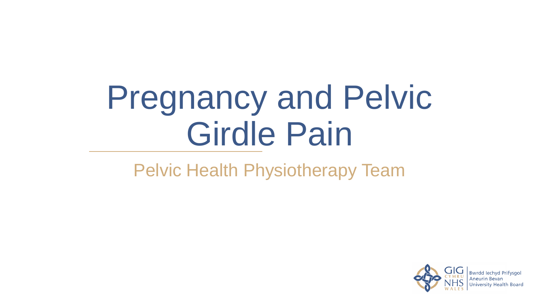# Pregnancy and Pelvic Girdle Pain

### Pelvic Health Physiotherapy Team

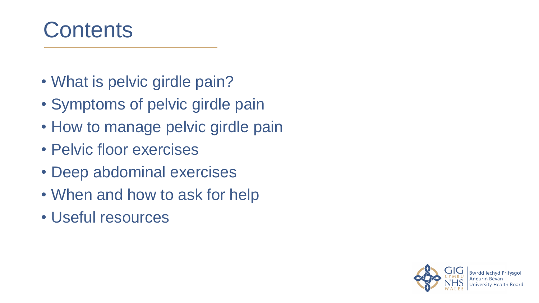### **Contents**

- What is pelvic girdle pain?
- Symptoms of pelvic girdle pain
- How to manage pelvic girdle pain
- Pelvic floor exercises
- Deep abdominal exercises
- When and how to ask for help
- Useful resources

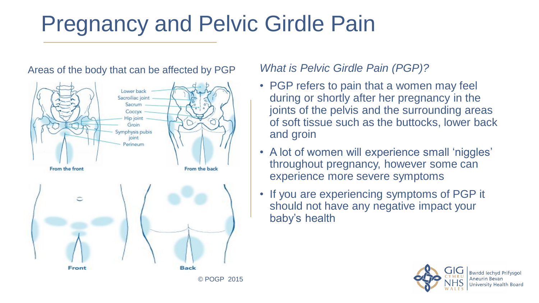### Pregnancy and Pelvic Girdle Pain

#### Areas of the body that can be affected by PGP



*What is Pelvic Girdle Pain (PGP)?*

- PGP refers to pain that a women may feel during or shortly after her pregnancy in the joints of the pelvis and the surrounding areas of soft tissue such as the buttocks, lower back and groin
- A lot of women will experience small 'niggles' throughout pregnancy, however some can experience more severe symptoms
- If you are experiencing symptoms of PGP it should not have any negative impact your baby's health



**Bwrdd Jechyd Prifysgol**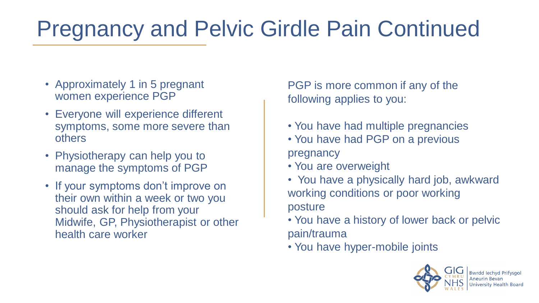### Pregnancy and Pelvic Girdle Pain Continued

- Approximately 1 in 5 pregnant women experience PGP
- Everyone will experience different symptoms, some more severe than others
- Physiotherapy can help you to manage the symptoms of PGP
- If your symptoms don't improve on their own within a week or two you should ask for help from your Midwife, GP, Physiotherapist or other health care worker

PGP is more common if any of the following applies to you:

- You have had multiple pregnancies
- You have had PGP on a previous pregnancy
- You are overweight
- You have a physically hard job, awkward working conditions or poor working posture
- You have a history of lower back or pelvic pain/trauma
- You have hyper-mobile joints

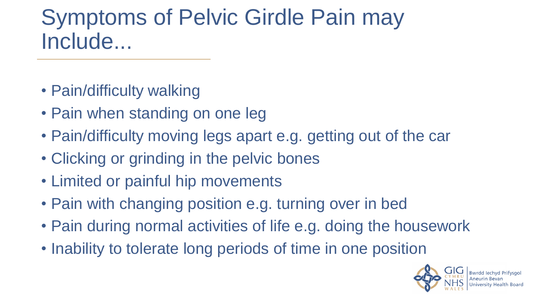### Symptoms of Pelvic Girdle Pain may Include...

- Pain/difficulty walking
- Pain when standing on one leg
- Pain/difficulty moving legs apart e.g. getting out of the car
- Clicking or grinding in the pelvic bones
- Limited or painful hip movements
- Pain with changing position e.g. turning over in bed
- Pain during normal activities of life e.g. doing the housework
- Inability to tolerate long periods of time in one position

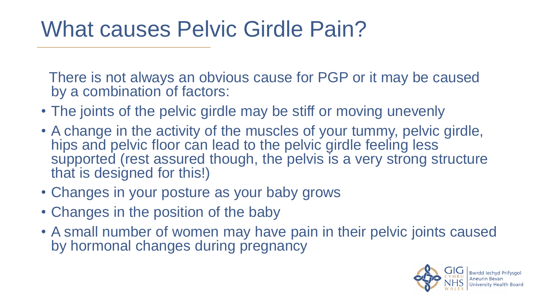### What causes Pelvic Girdle Pain?

There is not always an obvious cause for PGP or it may be caused by a combination of factors:

- The joints of the pelvic girdle may be stiff or moving unevenly
- A change in the activity of the muscles of your tummy, pelvic girdle, hips and pelvic floor can lead to the pelvic girdle feeling less supported (rest assured though, the pelvis is a very strong structure that is designed for this!)
- Changes in your posture as your baby grows
- Changes in the position of the baby
- A small number of women may have pain in their pelvic joints caused by hormonal changes during pregnancy

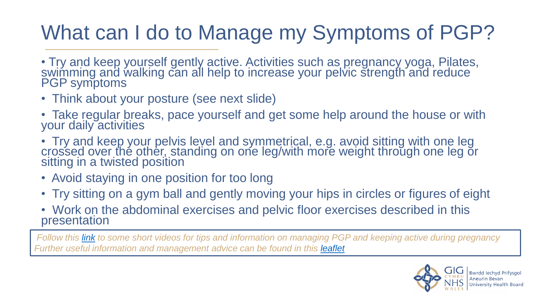### What can I do to Manage my Symptoms of PGP?

- Try and keep yourself gently active. Activities such as pregnancy yoga, Pilates, swimming and walking can all help to increase your pelvic strength and reduce PGP symptoms
- Think about your posture (see next slide)
- Take regular breaks, pace yourself and get some help around the house or with your daily activities
- Try and keep your pelvis level and symmetrical, e.g. avoid sitting with one leg crossed over the other, standing on one leg/with more weight through one leg or sitting in a twisted position
- Avoid staying in one position for too long
- Try sitting on a gym ball and gently moving your hips in circles or figures of eight
- Work on the abdominal exercises and pelvic floor exercises described in this presentation

*Follow this [link](https://abuhb.nhs.wales/hospitals/a-z-hospital-services/physiotherapy/pelvic-health-physiotherapy/physiotherapy-maternity-antenatal/) to some short videos for tips and information on managing PGP and keeping active during pregnancy*  **Further useful information and management advice can be found in this [leaflet](https://pogp.csp.org.uk/system/files/pogp-pgppat_3.pdf)** 

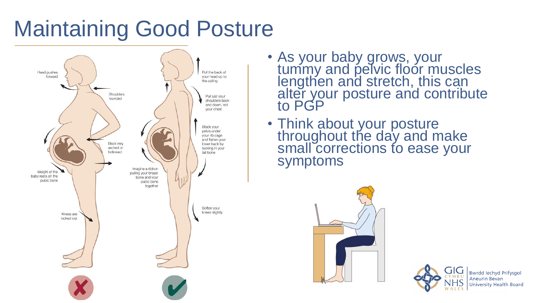### Maintaining Good Posture



- As your baby grows, your tummy and pelvic floor muscles lengthen and stretch, this can alter your posture and contribute to PGP
- Think about your posture throughout the day and make small corrections to ease your symptoms





**Bwrdd lechyd Prifysgol Aneurin Bevan University Health Board**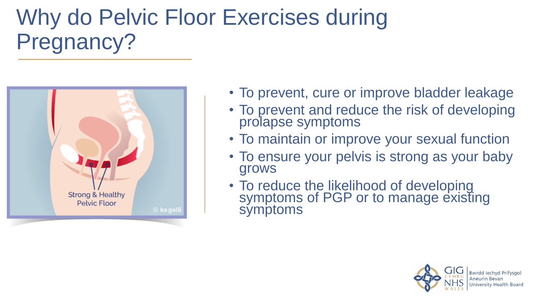### Why do Pelvic Floor Exercises during Pregnancy?



- To prevent, cure or improve bladder leakage
- To prevent and reduce the risk of developing prolapse symptoms
- To maintain or improve your sexual function
- To ensure your pelvis is strong as your baby grows
- To reduce the likelihood of developing symptoms of PGP or to manage existing symptoms

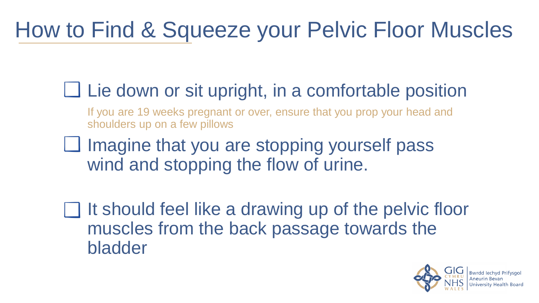# How to Find & Squeeze your Pelvic Floor Muscles

- $\Box$  Lie down or sit upright, in a comfortable position
	- If you are 19 weeks pregnant or over, ensure that you prop your head and shoulders up on a few pillows
- $\Box$  Imagine that you are stopping yourself pass wind and stopping the flow of urine.
- It should feel like a drawing up of the pelvic floor muscles from the back passage towards the bladder

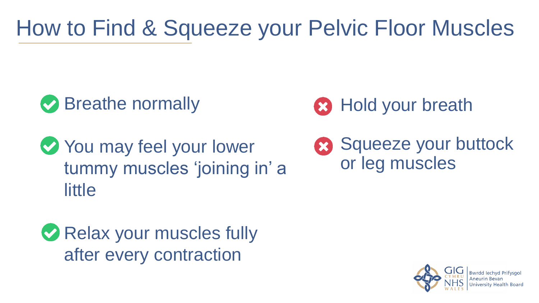# How to Find & Squeeze your Pelvic Floor Muscles

### **◆ Breathe normally**

You may feel your lower tummy muscles 'joining in' a **little** 





Squeeze your buttock or leg muscles

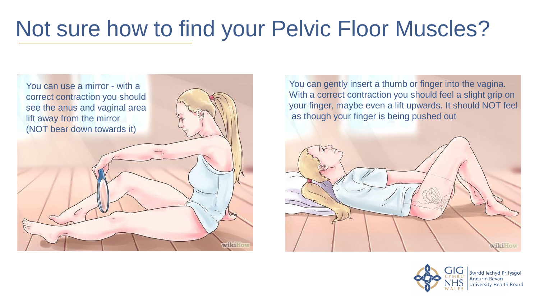### Not sure how to find your Pelvic Floor Muscles?



You can gently insert a thumb or finger into the vagina. With a correct contraction you should feel a slight grip on your finger, maybe even a lift upwards. It should NOT feel as though your finger is being pushed out





**Bwrdd lechyd Prifysgol** niversity Health Board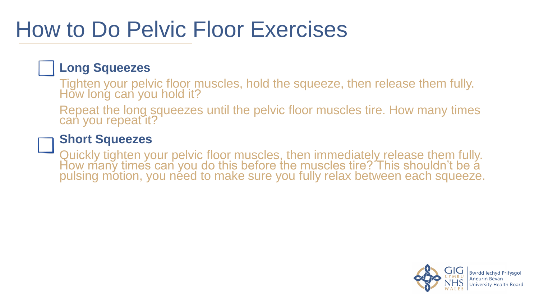### How to Do Pelvic Floor Exercises

#### **Long Squeezes**

Tighten your pelvic floor muscles, hold the squeeze, then release them fully. How long can you hold it?

Repeat the long squeezes until the pelvic floor muscles tire. How many times can you repeat it?

#### **Short Squeezes**

Quickly tighten your pelvic floor muscles, then immediately release them fully. How many times can you do this before the muscles tire? This shouldn't be a pulsing motion, you need to make sure you fully relax between each squeeze.

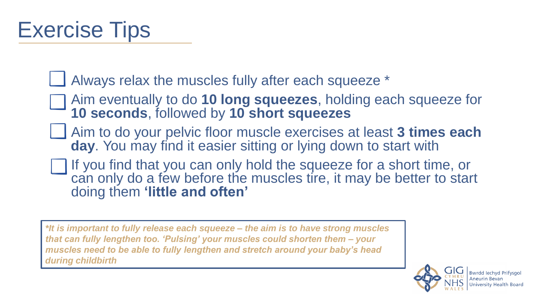### Exercise Tips

Always relax the muscles fully after each squeeze \*

- Aim eventually to do **10 long squeezes**, holding each squeeze for **10 seconds**, followed by **10 short squeezes**
- Aim to do your pelvic floor muscle exercises at least **3 times each day**. You may find it easier sitting or lying down to start with
- If you find that you can only hold the squeeze for a short time, or can only do a few before the muscles tire, it may be better to start doing them **'little and often'**

*\*It is important to fully release each squeeze – the aim is to have strong muscles that can fully lengthen too. 'Pulsing' your muscles could shorten them – your muscles need to be able to fully lengthen and stretch around your baby's head during childbirth*

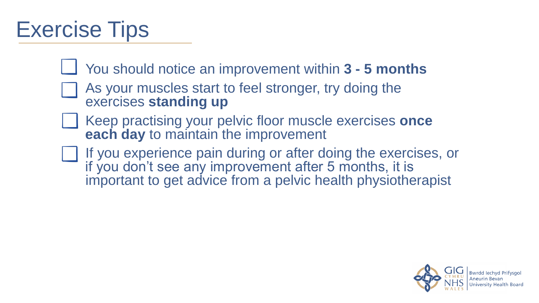### Exercise Tips

- You should notice an improvement within **3 - 5 months**
	- As your muscles start to feel stronger, try doing the exercises **standing up**
- Keep practising your pelvic floor muscle exercises **once each day** to maintain the improvement
- If you experience pain during or after doing the exercises, or if you don't see any improvement after 5 months, it is important to get advice from a pelvic health physiotherapist

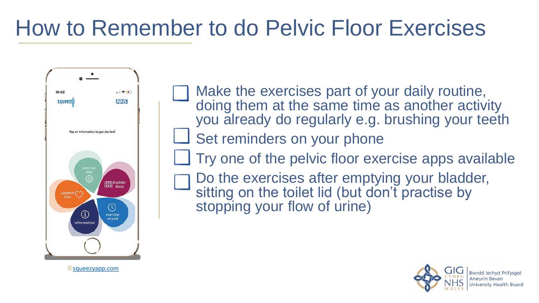### How to Remember to do Pelvic Floor Exercises



Make the exercises part of your daily routine, doing them at the same time as another activity you already do regularly e.g. brushing your teeth Set reminders on your phone Try one of the pelvic floor exercise apps available Do the exercises after emptying your bladder, sitting on the toilet lid (but don't practise by stopping your flow of urine)



©[squeezyapp.com](https://www.squeezyapp.com/)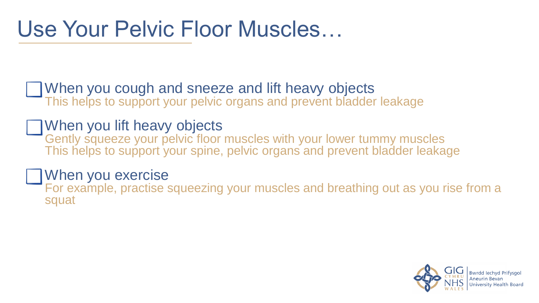### Use Your Pelvic Floor Muscles…

When you cough and sneeze and lift heavy objects This helps to support your pelvic organs and prevent bladder leakage

#### When you lift heavy objects

Gently squeeze your pelvic floor muscles with your lower tummy muscles This helps to support your spine, pelvic organs and prevent bladder leakage

#### When you exercise

For example, practise squeezing your muscles and breathing out as you rise from a squat

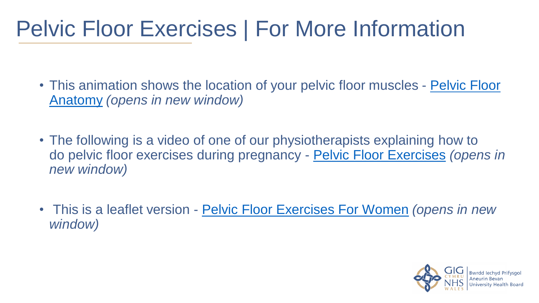### Pelvic Floor Exercises | For More Information

- [This animation shows the location of your pelvic floor muscles -](https://www.youtube.com/watch?v=q0_JAoaM6pU) Pelvic Floor Anatomy *(opens in new window)*
- The following is a video of one of our physiotherapists explaining how to do pelvic floor exercises during pregnancy - [Pelvic Floor Exercises](https://www.youtube.com/watch?v=XooaIktaQpg&feature=youtu.be) *(opens in new window)*
- This is a leaflet version [Pelvic Floor Exercises For Women](http://www.wales.nhs.uk/sitesplus/documents/866/PIU894(3)(ABUHB)(Active)(July 18)  Pelvic Floor Exercises for Women.pdf) *(opens in new window)*

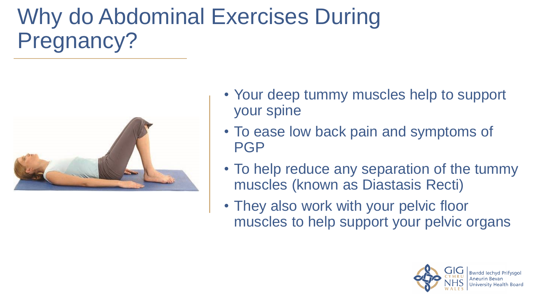# Why do Abdominal Exercises During Pregnancy?



- Your deep tummy muscles help to support your spine
- To ease low back pain and symptoms of **PGP**
- To help reduce any separation of the tummy muscles (known as Diastasis Recti)
- They also work with your pelvic floor muscles to help support your pelvic organs

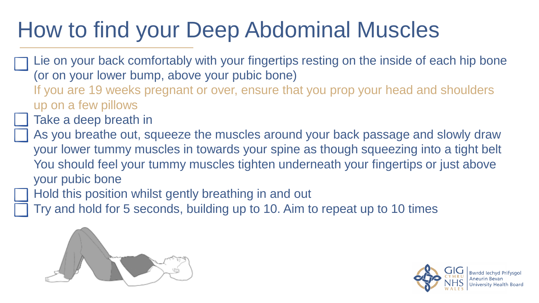### How to find your Deep Abdominal Muscles

- Lie on your back comfortably with your fingertips resting on the inside of each hip bone (or on your lower bump, above your pubic bone)
	- If you are 19 weeks pregnant or over, ensure that you prop your head and shoulders up on a few pillows
	- Take a deep breath in
- As you breathe out, squeeze the muscles around your back passage and slowly draw your lower tummy muscles in towards your spine as though squeezing into a tight belt You should feel your tummy muscles tighten underneath your fingertips or just above your pubic bone
- Hold this position whilst gently breathing in and out
- Try and hold for 5 seconds, building up to 10. Aim to repeat up to 10 times



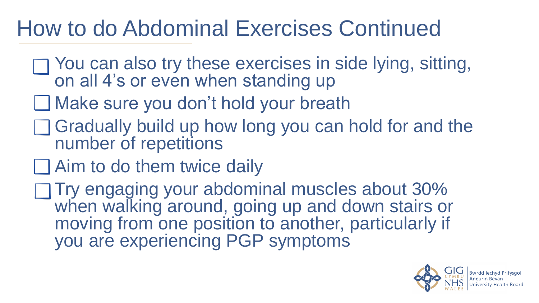### How to do Abdominal Exercises Continued

- You can also try these exercises in side lying, sitting, on all 4's or even when standing up
- **□ Make sure you don't hold your breath**
- $\Box$  Gradually build up how long you can hold for and the number of repetitions
- **□ Aim to do them twice daily**
- Try engaging your abdominal muscles about 30% when walking around, going up and down stairs or moving from one position to another, particularly if you are experiencing PGP symptoms

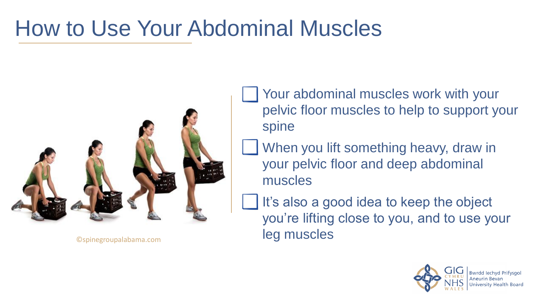### How to Use Your Abdominal Muscles



- Your abdominal muscles work with your pelvic floor muscles to help to support your spine
- When you lift something heavy, draw in your pelvic floor and deep abdominal muscles
- It's also a good idea to keep the object you're lifting close to you, and to use your ©spinegroupalabama.com leg muscles

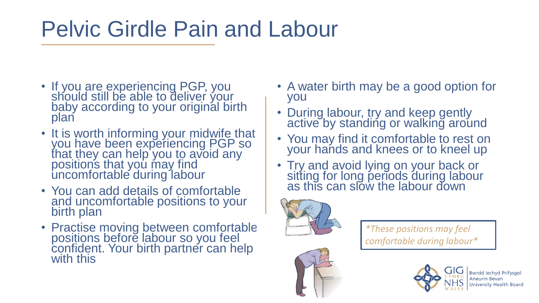### Pelvic Girdle Pain and Labour

- If you are experiencing PGP, you should still be able to deliver your baby according to your original birth plan
- It is worth informing your midwife that you have been experiencing PGP so that they can help you to avoid any positions that you may find uncomfortable during labour
- You can add details of comfortable and uncomfortable positions to your birth plan
- Practise moving between comfortable positions before labour so you feel confident. Your birth partner can help with this
- A water birth may be a good option for you
- During labour, try and keep gently active by standing or walking around
- You may find it comfortable to rest on your hands and knees or to kneel up
- Try and avoid lying on your back or sitting for long periods during labour as this can slow the labour down



*\*These positions may feel comfortable during labour\**



**Bwrdd lechvd Prifysgol University Health Board**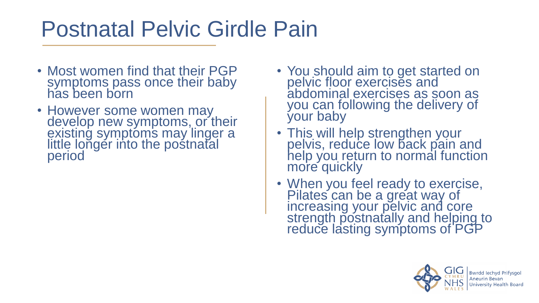### Postnatal Pelvic Girdle Pain

- Most women find that their PGP symptoms pass once their baby has been born
- However some women may develop new symptoms, or their existing symptoms may linger a little longer into the postnatal period
- You should aim to get started on pelvic floor exercises and abdominal exercises as soon as you can following the delivery of your baby
- This will help strengthen your pelvis, reduce low back pain and help you return to normal function more quickly
- When you feel ready to exercise, Pilates can be a great way of increasing your pelvic and core strength postnatally and helping to reduce lasting symptoms of PGP